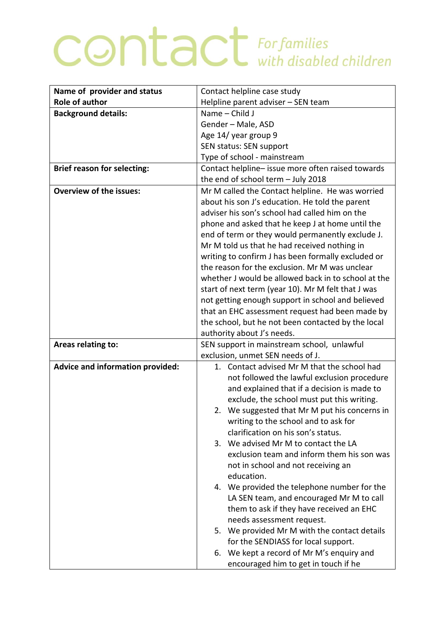## **CONTACT** For families

| Name of provider and status        | Contact helpline case study                                                          |
|------------------------------------|--------------------------------------------------------------------------------------|
| <b>Role of author</b>              | Helpline parent adviser - SEN team                                                   |
| <b>Background details:</b>         | Name - Child J                                                                       |
|                                    | Gender - Male, ASD                                                                   |
|                                    | Age 14/ year group 9                                                                 |
|                                    | SEN status: SEN support                                                              |
|                                    | Type of school - mainstream                                                          |
| <b>Brief reason for selecting:</b> | Contact helpline- issue more often raised towards                                    |
|                                    | the end of school term - July 2018                                                   |
| <b>Overview of the issues:</b>     | Mr M called the Contact helpline. He was worried                                     |
|                                    | about his son J's education. He told the parent                                      |
|                                    | adviser his son's school had called him on the                                       |
|                                    | phone and asked that he keep J at home until the                                     |
|                                    | end of term or they would permanently exclude J.                                     |
|                                    | Mr M told us that he had received nothing in                                         |
|                                    | writing to confirm J has been formally excluded or                                   |
|                                    | the reason for the exclusion. Mr M was unclear                                       |
|                                    | whether J would be allowed back in to school at the                                  |
|                                    | start of next term (year 10). Mr M felt that J was                                   |
|                                    | not getting enough support in school and believed                                    |
|                                    | that an EHC assessment request had been made by                                      |
|                                    | the school, but he not been contacted by the local                                   |
|                                    | authority about J's needs.                                                           |
| Areas relating to:                 | SEN support in mainstream school, unlawful                                           |
|                                    | exclusion, unmet SEN needs of J.                                                     |
| Advice and information provided:   | 1. Contact advised Mr M that the school had                                          |
|                                    | not followed the lawful exclusion procedure                                          |
|                                    | and explained that if a decision is made to                                          |
|                                    | exclude, the school must put this writing.                                           |
|                                    | 2. We suggested that Mr M put his concerns in                                        |
|                                    | writing to the school and to ask for                                                 |
|                                    | clarification on his son's status.                                                   |
|                                    | 3. We advised Mr M to contact the LA                                                 |
|                                    | exclusion team and inform them his son was                                           |
|                                    | not in school and not receiving an                                                   |
|                                    | education.                                                                           |
|                                    | 4. We provided the telephone number for the                                          |
|                                    | LA SEN team, and encouraged Mr M to call                                             |
|                                    | them to ask if they have received an EHC<br>needs assessment request.                |
|                                    | 5. We provided Mr M with the contact details                                         |
|                                    | for the SENDIASS for local support.                                                  |
|                                    |                                                                                      |
|                                    |                                                                                      |
|                                    | We kept a record of Mr M's enquiry and<br>6.<br>encouraged him to get in touch if he |